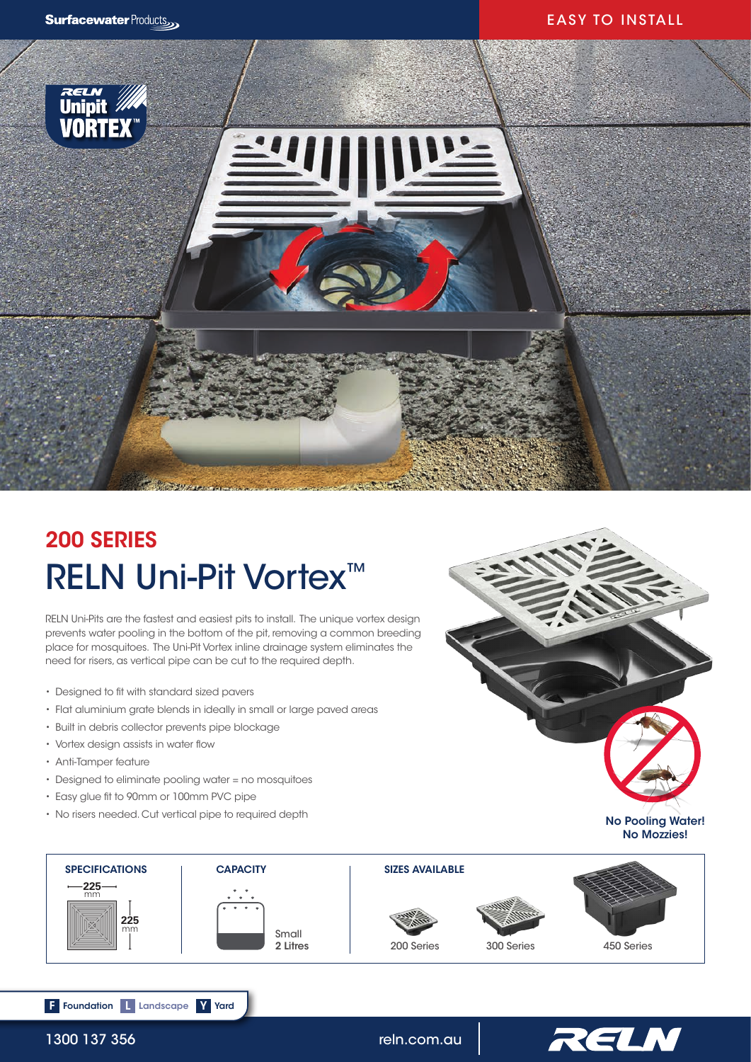## EASY TO INSTALL



# RELN Uni-Pit Vortex<sup>™</sup> 200 SERIES

RELN Uni-Pits are the fastest and easiest pits to install. The unique vortex design prevents water pooling in the bottom of the pit, removing a common breeding place for mosquitoes. The Uni-Pit Vortex inline drainage system eliminates the need for risers, as vertical pipe can be cut to the required depth.

- Designed to fit with standard sized pavers
- Flat aluminium grate blends in ideally in small or large paved areas
- Built in debris collector prevents pipe blockage
- Vortex design assists in water flow
- Anti-Tamper feature
- Designed to eliminate pooling water = no mosquitoes
- Easy glue fit to 90mm or 100mm PVC pipe

F Foundation L Landscape Y Yard

• No risers needed. Cut vertical pipe to required depth







1300 137 356 reln.com.au